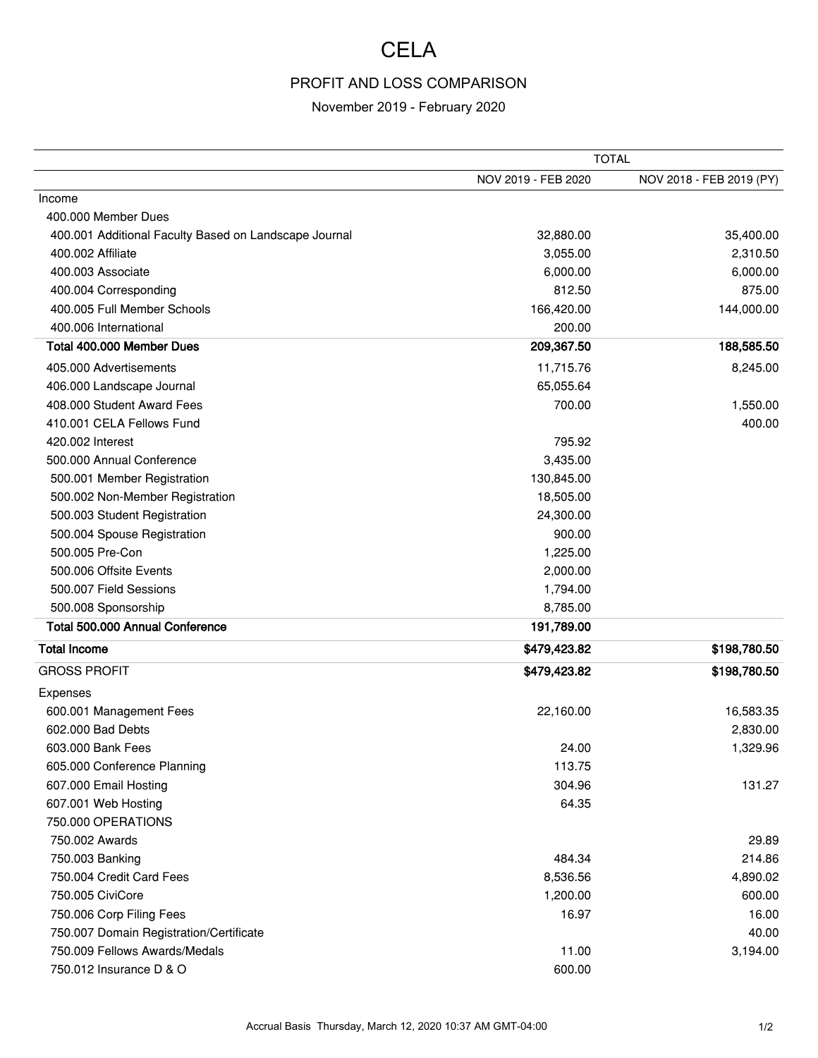## **CELA**

## PROFIT AND LOSS COMPARISON

## November 2019 - February 2020

|                                                       | <b>TOTAL</b>        |                          |
|-------------------------------------------------------|---------------------|--------------------------|
|                                                       | NOV 2019 - FEB 2020 | NOV 2018 - FEB 2019 (PY) |
| Income                                                |                     |                          |
| 400.000 Member Dues                                   |                     |                          |
| 400.001 Additional Faculty Based on Landscape Journal | 32,880.00           | 35,400.00                |
| 400.002 Affiliate                                     | 3,055.00            | 2,310.50                 |
| 400.003 Associate                                     | 6,000.00            | 6,000.00                 |
| 400.004 Corresponding                                 | 812.50              | 875.00                   |
| 400.005 Full Member Schools                           | 166,420.00          | 144,000.00               |
| 400.006 International                                 | 200.00              |                          |
| Total 400.000 Member Dues                             | 209,367.50          | 188,585.50               |
| 405.000 Advertisements                                | 11,715.76           | 8,245.00                 |
| 406.000 Landscape Journal                             | 65,055.64           |                          |
| 408.000 Student Award Fees                            | 700.00              | 1,550.00                 |
| 410.001 CELA Fellows Fund                             |                     | 400.00                   |
| 420.002 Interest                                      | 795.92              |                          |
| 500.000 Annual Conference                             | 3,435.00            |                          |
| 500.001 Member Registration                           | 130,845.00          |                          |
| 500.002 Non-Member Registration                       | 18,505.00           |                          |
| 500.003 Student Registration                          | 24,300.00           |                          |
| 500.004 Spouse Registration                           | 900.00              |                          |
| 500.005 Pre-Con                                       | 1,225.00            |                          |
| 500.006 Offsite Events                                | 2,000.00            |                          |
| 500.007 Field Sessions                                | 1,794.00            |                          |
| 500.008 Sponsorship                                   | 8,785.00            |                          |
| Total 500.000 Annual Conference                       | 191,789.00          |                          |
| <b>Total Income</b>                                   | \$479,423.82        | \$198,780.50             |
| <b>GROSS PROFIT</b>                                   | \$479,423.82        | \$198,780.50             |
| Expenses                                              |                     |                          |
| 600.001 Management Fees                               | 22,160.00           | 16,583.35                |
| 602.000 Bad Debts                                     |                     | 2,830.00                 |
| 603.000 Bank Fees                                     | 24.00               | 1,329.96                 |
| 605.000 Conference Planning                           | 113.75              |                          |
| 607.000 Email Hosting                                 | 304.96              | 131.27                   |
| 607.001 Web Hosting                                   | 64.35               |                          |
| 750.000 OPERATIONS                                    |                     |                          |
| 750.002 Awards                                        |                     | 29.89                    |
| 750.003 Banking                                       | 484.34              | 214.86                   |
| 750.004 Credit Card Fees                              | 8,536.56            | 4,890.02                 |
| 750.005 CiviCore                                      | 1,200.00            | 600.00                   |
| 750.006 Corp Filing Fees                              | 16.97               | 16.00                    |
| 750.007 Domain Registration/Certificate               |                     | 40.00                    |
| 750.009 Fellows Awards/Medals                         | 11.00               | 3,194.00                 |
| 750.012 Insurance D & O                               | 600.00              |                          |